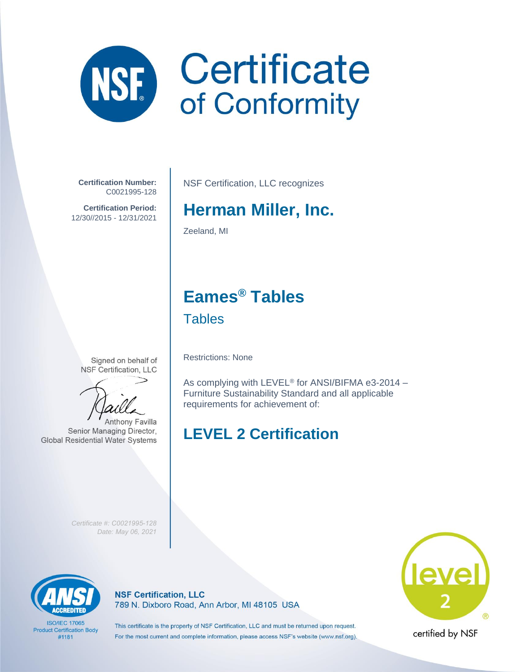

**Certification Number:** C0021995-128

**Certification Period:** 12/30//2015 - 12/31/2021

NSF Certification, LLC recognizes

# **Herman Miller, Inc.**

Zeeland, MI

### **Eames® Tables Tables**

Signed on behalf of **NSF Certification, LLC** 

**Anthony Favilla** Senior Managing Director, **Global Residential Water Systems** 

Restrictions: None

As complying with LEVEL® for ANSI/BIFMA e3-2014 – Furniture Sustainability Standard and all applicable requirements for achievement of:

## **LEVEL 2 Certification**

*Certificate #: C0021995-128 Date: May 06, 2021*



**ISO/IEC 17065 Product Certification Body** #1181

**NSF Certification, LLC** 789 N. Dixboro Road, Ann Arbor, MI 48105 USA



certified by NSF

This certificate is the property of NSF Certification, LLC and must be returned upon request. For the most current and complete information, please access NSF's website (www.nsf.org).